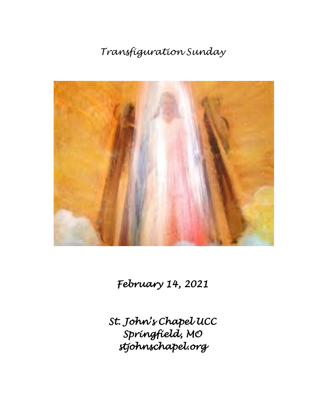# *Transfiguration Sunday*



*February 14, 2021* 

*St. John's Chapel UCC Springfield, MO stjohnschapel.org*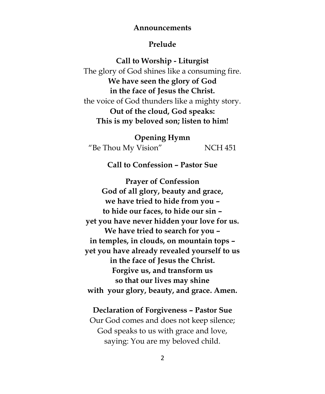#### **Announcements**

## **Prelude**

**Call to Worship - Liturgist** The glory of God shines like a consuming fire. **We have seen the glory of God in the face of Jesus the Christ.** the voice of God thunders like a mighty story. **Out of the cloud, God speaks: This is my beloved son; listen to him!**

**Opening Hymn** "Be Thou My Vision" NCH 451

**Call to Confession – Pastor Sue**

**Prayer of Confession God of all glory, beauty and grace, we have tried to hide from you – to hide our faces, to hide our sin – yet you have never hidden your love for us. We have tried to search for you – in temples, in clouds, on mountain tops – yet you have already revealed yourself to us in the face of Jesus the Christ. Forgive us, and transform us so that our lives may shine with your glory, beauty, and grace. Amen.**

#### **Declaration of Forgiveness – Pastor Sue**

Our God comes and does not keep silence; God speaks to us with grace and love, saying: You are my beloved child.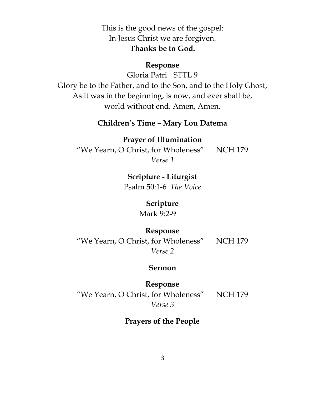This is the good news of the gospel: In Jesus Christ we are forgiven. **Thanks be to God.**

## **Response**

Gloria Patri STTL 9

Glory be to the Father, and to the Son, and to the Holy Ghost, As it was in the beginning, is now, and ever shall be, world without end. Amen, Amen.

## **Children's Time – Mary Lou Datema**

**Prayer of Illumination** "We Yearn, O Christ, for Wholeness" NCH 179 *Verse 1*

**Scripture - Liturgist**

Psalm 50:1-6 *The Voice*

# **Scripture**

Mark 9:2-9

## **Response**

"We Yearn, O Christ, for Wholeness" NCH 179 *Verse 2*

#### **Sermon**

**Response** "We Yearn, O Christ, for Wholeness" NCH 179 *Verse 3*

# **Prayers of the People**